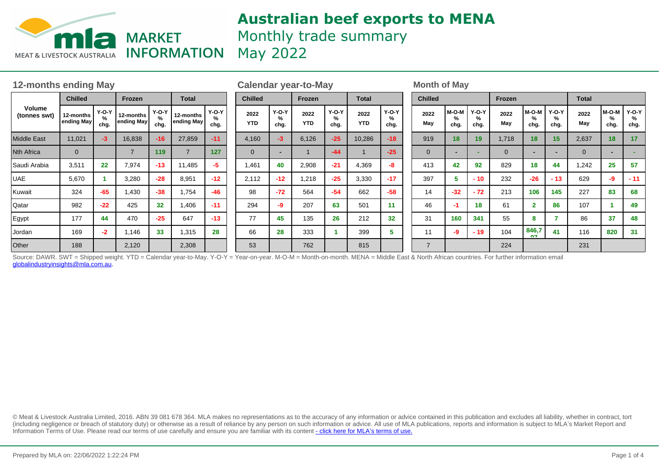

Monthly trade summary

**INFORMATION** May 2022

| 12-months ending May   |                         |                      |                         |                                  |                         |                      |                    | <b>Calendar year-to-May</b> |                    |                      |                    |                      |  | <b>Month of May</b>      |                    |                      |             |                      |                      |              |                      |                           |
|------------------------|-------------------------|----------------------|-------------------------|----------------------------------|-------------------------|----------------------|--------------------|-----------------------------|--------------------|----------------------|--------------------|----------------------|--|--------------------------|--------------------|----------------------|-------------|----------------------|----------------------|--------------|----------------------|---------------------------|
| Volume<br>(tonnes swt) | <b>Chilled</b>          |                      | Frozen                  |                                  | <b>Total</b>            |                      | <b>Chilled</b>     |                             | Frozen             |                      | <b>Total</b>       |                      |  | <b>Chilled</b>           |                    |                      | Frozen      |                      |                      | <b>Total</b> |                      |                           |
|                        | 12-months<br>ending May | $Y-O-Y$<br>%<br>chg. | 12-months<br>ending May | $Y-O-Y$<br>$\frac{0}{2}$<br>chg. | 12-months<br>ending May | $Y-O-Y$<br>%<br>chg. | 2022<br><b>YTD</b> | $Y-O-Y$<br>%<br>chg.        | 2022<br><b>YTD</b> | $Y-O-Y$<br>%<br>chg. | 2022<br><b>YTD</b> | $Y-O-Y$<br>%<br>chg. |  | 2022<br>May              | M-O-M<br>%<br>chg. | $Y-O-Y$<br>%<br>chg. | 2022<br>May | l M-O-M<br>%<br>chg. | $Y-O-Y$<br>%<br>chg. | 2022<br>May  | $M-O-M$<br>%<br>chg. | <b>Y-O-Y</b><br>℅<br>chg. |
| Middle East            | 11,021                  | $-3$                 | 16,838                  | $-16$                            | 27,859                  | $-11$                | 4,160              | $-3$                        | 6,126              | $-25$                | 10,286             | $-18$                |  | 919                      | 18                 | 19                   | 1,718       | 18                   | 15                   | 2,637        | 18                   | 17 <sup>2</sup>           |
| <b>Nth Africa</b>      | $\mathbf 0$             |                      | $\overline{7}$          | 119                              |                         | 127                  | $\mathbf{0}$       |                             |                    | $-44$                |                    | $-25$                |  | 0                        |                    |                      | 0           |                      |                      | $\Omega$     | $\blacksquare$       |                           |
| Saudi Arabia           | 3,511                   | 22                   | 7,974                   | $-13$                            | 11,485                  | -5.                  | 1,461              | 40                          | 2,908              | $-21$                | 4,369              | -8                   |  | 413                      | 42                 | 92                   | 829         | 18                   | 44                   | 1,242        | 25                   | 57                        |
| <b>UAE</b>             | 5,670                   |                      | 3,280                   | $-28$                            | 8,951                   | $-12$                | 2,112              | $-12$                       | 1,218              | $-25$                | 3,330              | $-17$                |  | 397                      | 5                  | $-10$                | 232         | $-26$                | $-13$                | 629          | -9                   | $-11$                     |
| Kuwait                 | 324                     | $-65$                | 1,430                   | $-38$                            | 1,754                   | $-46$                | 98                 | $-72$                       | 564                | $-54$                | 662                | $-58$                |  | 14                       | $-32$              | $-72$                | 213         | 106                  | 145                  | 227          | 83                   | 68                        |
| Qatar                  | 982                     | $-22$                | 425                     | 32 <sub>2</sub>                  | .406                    | $-11$                | 294                | -9                          | 207                | 63                   | 501                | 11                   |  | 46                       | $-1$               | 18                   | 61          | $\mathbf{2}$         | 86                   | 107          |                      | 49                        |
| Egypt                  | 177                     | 44                   | 470                     | $-25$                            | 647                     | $-13$                | 77                 | 45                          | 135                | 26                   | 212                | 32                   |  | 31                       | 160                | 341                  | 55          | 8                    |                      | 86           | 37                   | 48                        |
| Jordan                 | 169                     | $-2$                 | 1,146                   | 33                               | 1,315                   | 28                   | 66                 | 28                          | 333                |                      | 399                | 5                    |  | 11                       | -9                 | $-19$                | 104         | 846,7<br>67          | 41                   | 116          | 820                  | 31                        |
| Other                  | 188                     |                      | 2,120                   |                                  | 2,308                   |                      | 53                 |                             | 762                |                      | 815                |                      |  | $\overline{\phantom{0}}$ |                    |                      | 224         |                      |                      | 231          |                      |                           |

Source: DAWR. SWT = Shipped weight. YTD = Calendar year-to-May. Y-O-Y = Year-on-year. M-O-M = Month-on-month. MENA = Middle East & North African countries. For further information email globalindustryinsights@mla.com.au.

© Meat & Livestock Australia Limited, 2016. ABN 39 081 678 364. MLA makes no representations as to the accuracy of any information or advice contained in this publication and excludes all liability, whether in contract, tort (including negligence or breach of statutory duty) or otherwise as a result of reliance by any person on such information or advice. All use of MLA publications, reports and information is subject to MLA's Market Report an Information Terms of Use. Please read our terms of use carefully and ensure you are familiar with its content [- click here for MLA](http://www.mla.com.au/files/edae0364-a185-4a6f-9dff-a42700d1463a/MLA-Market-Report-and-Information-Terms-of-use-Dec-2014.pdf)'[s terms of use.](http://www.mla.com.au/files/edae0364-a185-4a6f-9dff-a42700d1463a/MLA-Market-Report-and-Information-Terms-of-use-Dec-2014.pdf)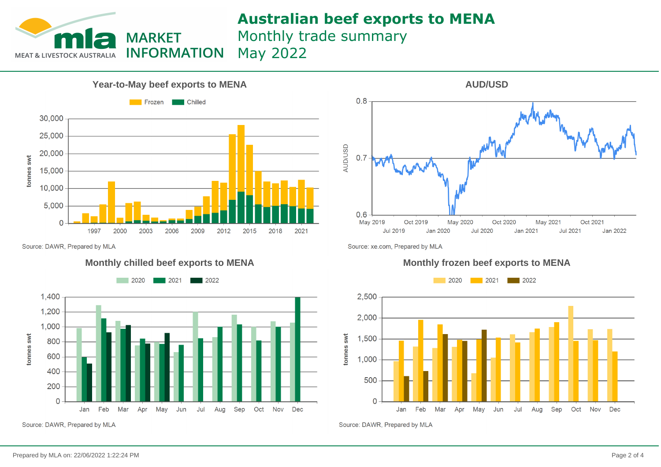

Monthly trade summary

May 2022



**AUD/USD**  $0.8$ **AUD/USD**  $0.7$  $0.6$ May 2019 Oct 2019 May 2020 Oct 2020 May 2021 Oct 2021 **Jul 2019** Jan 2020 **Jul 2020** Jan 2021 **Jul 2021** Jan 2022

Source: DAWR, Prepared by MLA

### **Monthly chilled beef exports to MENA Monthly frozen beef exports to MENA**



Source: DAWR, Prepared by MLA

Source: xe.com, Prepared by MLA



Source: DAWR, Prepared by MLA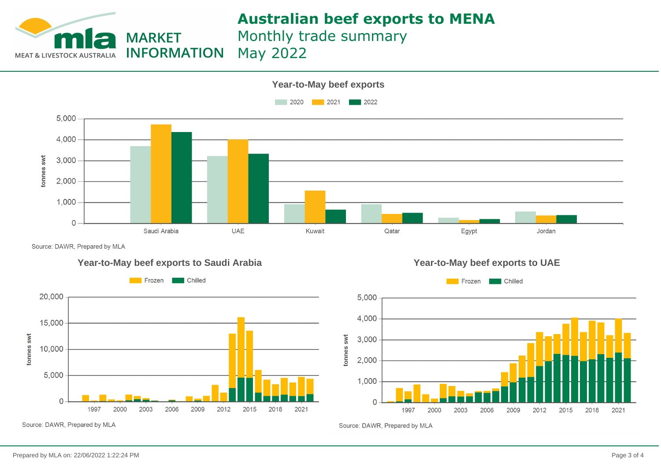

Monthly trade summary

May 2022



Source: DAWR, Prepared by MLA







Source: DAWR, Prepared by MLA